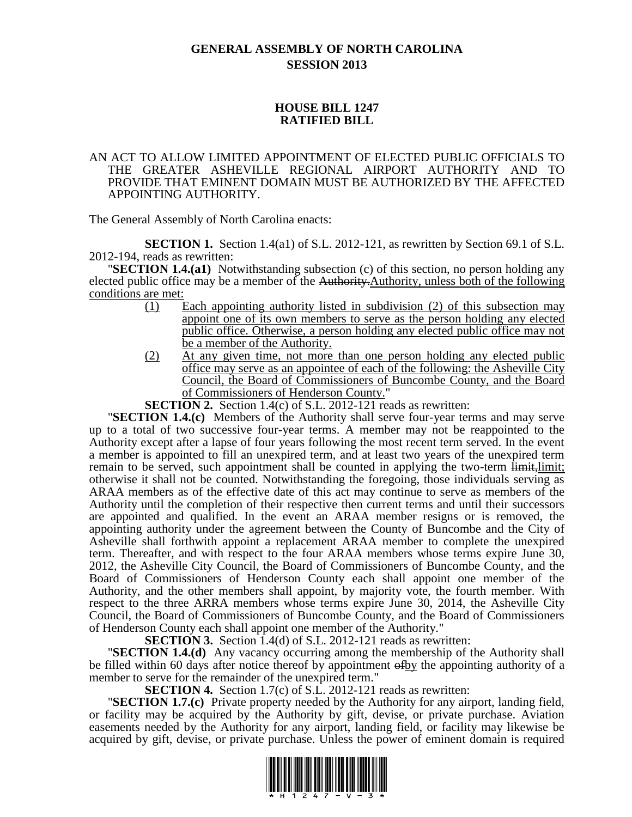## **GENERAL ASSEMBLY OF NORTH CAROLINA SESSION 2013**

## **HOUSE BILL 1247 RATIFIED BILL**

## AN ACT TO ALLOW LIMITED APPOINTMENT OF ELECTED PUBLIC OFFICIALS TO THE GREATER ASHEVILLE REGIONAL AIRPORT AUTHORITY AND TO PROVIDE THAT EMINENT DOMAIN MUST BE AUTHORIZED BY THE AFFECTED APPOINTING AUTHORITY.

The General Assembly of North Carolina enacts:

**SECTION 1.** Section 1.4(a1) of S.L. 2012-121, as rewritten by Section 69.1 of S.L. 2012-194, reads as rewritten:

"**SECTION 1.4.(a1)** Notwithstanding subsection (c) of this section, no person holding any elected public office may be a member of the Authority.Authority, unless both of the following conditions are met:

- (1) Each appointing authority listed in subdivision (2) of this subsection may appoint one of its own members to serve as the person holding any elected public office. Otherwise, a person holding any elected public office may not be a member of the Authority.
- (2) At any given time, not more than one person holding any elected public office may serve as an appointee of each of the following: the Asheville City Council, the Board of Commissioners of Buncombe County, and the Board of Commissioners of Henderson County."

**SECTION 2.** Section 1.4(c) of S.L. 2012-121 reads as rewritten:

"**SECTION 1.4.(c)** Members of the Authority shall serve four-year terms and may serve up to a total of two successive four-year terms. A member may not be reappointed to the Authority except after a lapse of four years following the most recent term served. In the event a member is appointed to fill an unexpired term, and at least two years of the unexpired term remain to be served, such appointment shall be counted in applying the two-term limit, limit; otherwise it shall not be counted. Notwithstanding the foregoing, those individuals serving as ARAA members as of the effective date of this act may continue to serve as members of the Authority until the completion of their respective then current terms and until their successors are appointed and qualified. In the event an ARAA member resigns or is removed, the appointing authority under the agreement between the County of Buncombe and the City of Asheville shall forthwith appoint a replacement ARAA member to complete the unexpired term. Thereafter, and with respect to the four ARAA members whose terms expire June 30, 2012, the Asheville City Council, the Board of Commissioners of Buncombe County, and the Board of Commissioners of Henderson County each shall appoint one member of the Authority, and the other members shall appoint, by majority vote, the fourth member. With respect to the three ARRA members whose terms expire June 30, 2014, the Asheville City Council, the Board of Commissioners of Buncombe County, and the Board of Commissioners of Henderson County each shall appoint one member of the Authority."

**SECTION 3.** Section 1.4(d) of S.L. 2012-121 reads as rewritten:

"**SECTION 1.4.(d)** Any vacancy occurring among the membership of the Authority shall be filled within 60 days after notice thereof by appointment of by the appointing authority of a member to serve for the remainder of the unexpired term."

**SECTION 4.** Section 1.7(c) of S.L. 2012-121 reads as rewritten:

"**SECTION 1.7.(c)** Private property needed by the Authority for any airport, landing field, or facility may be acquired by the Authority by gift, devise, or private purchase. Aviation easements needed by the Authority for any airport, landing field, or facility may likewise be acquired by gift, devise, or private purchase. Unless the power of eminent domain is required